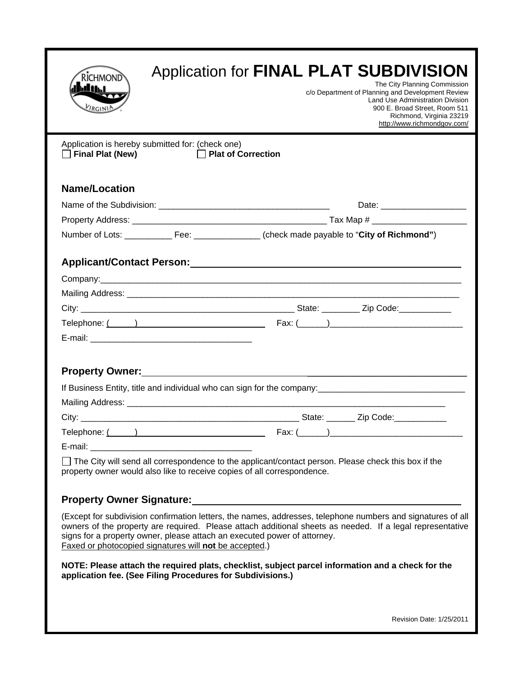| RICHMOND<br><b>hdi ti</b> n L<br><b>LIRGINI</b>  | Application for FINAL PLAT SUBDIVISION<br>The City Planning Commission<br>c/o Department of Planning and Development Review<br>Land Use Administration Division<br>900 E. Broad Street, Room 511<br>Richmond, Virginia 23219                                                                                                                                   |
|--------------------------------------------------|----------------------------------------------------------------------------------------------------------------------------------------------------------------------------------------------------------------------------------------------------------------------------------------------------------------------------------------------------------------|
| Application is hereby submitted for: (check one) | http://www.richmondgov.com/                                                                                                                                                                                                                                                                                                                                    |
| $\Box$ Final Plat (New)                          | $\Box$ Plat of Correction                                                                                                                                                                                                                                                                                                                                      |
| <b>Name/Location</b>                             |                                                                                                                                                                                                                                                                                                                                                                |
|                                                  | Date: ________________________                                                                                                                                                                                                                                                                                                                                 |
|                                                  |                                                                                                                                                                                                                                                                                                                                                                |
|                                                  |                                                                                                                                                                                                                                                                                                                                                                |
|                                                  | Applicant/Contact Person: Applicant Applicant Applicant Applicant Applicant Applicant Applicant Applicant Applicant Applicant Applicant Applicant Applicant Applicant Applicant Applicant Applicant Applicant Applicant Applic                                                                                                                                 |
|                                                  |                                                                                                                                                                                                                                                                                                                                                                |
|                                                  |                                                                                                                                                                                                                                                                                                                                                                |
|                                                  |                                                                                                                                                                                                                                                                                                                                                                |
|                                                  |                                                                                                                                                                                                                                                                                                                                                                |
|                                                  |                                                                                                                                                                                                                                                                                                                                                                |
|                                                  |                                                                                                                                                                                                                                                                                                                                                                |
|                                                  |                                                                                                                                                                                                                                                                                                                                                                |
|                                                  |                                                                                                                                                                                                                                                                                                                                                                |
|                                                  | □ The City will send all correspondence to the applicant/contact person. Please check this box if the<br>property owner would also like to receive copies of all correspondence.                                                                                                                                                                               |
|                                                  | <b>Property Owner Signature:</b> The Contract of the Contract of the Contract of the Contract of the Contract of the Contract of the Contract of the Contract of the Contract of the Contract of the Contract of the Contract of th                                                                                                                            |
|                                                  | (Except for subdivision confirmation letters, the names, addresses, telephone numbers and signatures of all<br>owners of the property are required. Please attach additional sheets as needed. If a legal representative<br>signs for a property owner, please attach an executed power of attorney.<br>Faxed or photocopied signatures will not be accepted.) |
|                                                  | NOTE: Please attach the required plats, checklist, subject parcel information and a check for the<br>application fee. (See Filing Procedures for Subdivisions.)                                                                                                                                                                                                |
|                                                  |                                                                                                                                                                                                                                                                                                                                                                |
|                                                  | Revision Date: 1/25/2011                                                                                                                                                                                                                                                                                                                                       |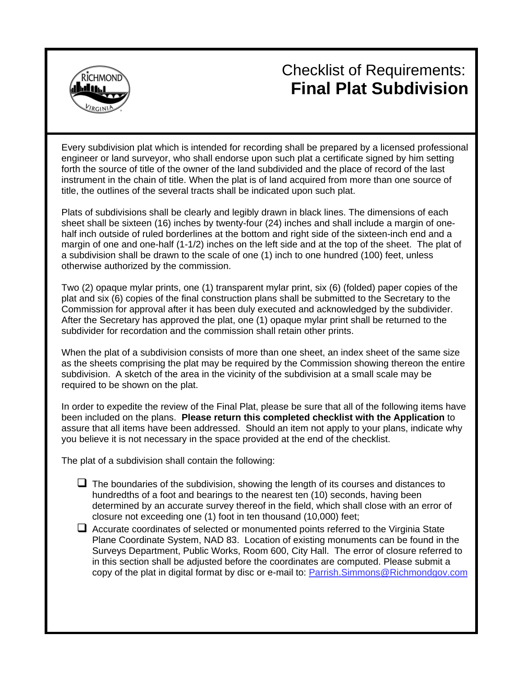

# Checklist of Requirements: **Final Plat Subdivision**

Every subdivision plat which is intended for recording shall be prepared by a licensed professional engineer or land surveyor, who shall endorse upon such plat a certificate signed by him setting forth the source of title of the owner of the land subdivided and the place of record of the last instrument in the chain of title. When the plat is of land acquired from more than one source of title, the outlines of the several tracts shall be indicated upon such plat.

Plats of subdivisions shall be clearly and legibly drawn in black lines. The dimensions of each sheet shall be sixteen (16) inches by twenty-four (24) inches and shall include a margin of onehalf inch outside of ruled borderlines at the bottom and right side of the sixteen-inch end and a margin of one and one-half (1-1/2) inches on the left side and at the top of the sheet. The plat of a subdivision shall be drawn to the scale of one (1) inch to one hundred (100) feet, unless otherwise authorized by the commission.

Two (2) opaque mylar prints, one (1) transparent mylar print, six (6) (folded) paper copies of the plat and six (6) copies of the final construction plans shall be submitted to the Secretary to the Commission for approval after it has been duly executed and acknowledged by the subdivider. After the Secretary has approved the plat, one (1) opaque mylar print shall be returned to the subdivider for recordation and the commission shall retain other prints.

When the plat of a subdivision consists of more than one sheet, an index sheet of the same size as the sheets comprising the plat may be required by the Commission showing thereon the entire subdivision. A sketch of the area in the vicinity of the subdivision at a small scale may be required to be shown on the plat.

In order to expedite the review of the Final Plat, please be sure that all of the following items have been included on the plans. **Please return this completed checklist with the Application** to assure that all items have been addressed. Should an item not apply to your plans, indicate why you believe it is not necessary in the space provided at the end of the checklist.

The plat of a subdivision shall contain the following:

- $\Box$  The boundaries of the subdivision, showing the length of its courses and distances to hundredths of a foot and bearings to the nearest ten (10) seconds, having been determined by an accurate survey thereof in the field, which shall close with an error of closure not exceeding one (1) foot in ten thousand (10,000) feet;
- $\Box$  Accurate coordinates of selected or monumented points referred to the Virginia State Plane Coordinate System, NAD 83. Location of existing monuments can be found in the Surveys Department, Public Works, Room 600, City Hall. The error of closure referred to in this section shall be adjusted before the coordinates are computed. Please submit a copy of the plat in digital format by disc or e-mail to: Parrish.Simmons@Richmondgov.com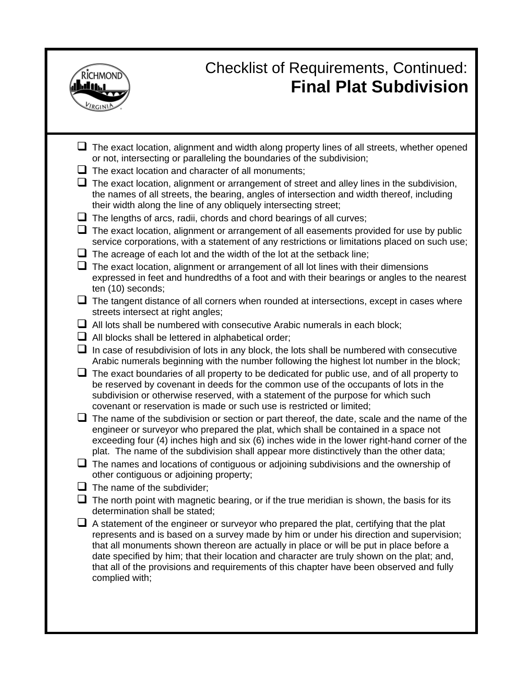

# Checklist of Requirements, Continued: **Final Plat Subdivision**

| $\Box$ The exact location, alignment and width along property lines of all streets, whether opened<br>or not, intersecting or paralleling the boundaries of the subdivision;                                                                                                                                                                                                                                                                                                                     |
|--------------------------------------------------------------------------------------------------------------------------------------------------------------------------------------------------------------------------------------------------------------------------------------------------------------------------------------------------------------------------------------------------------------------------------------------------------------------------------------------------|
| $\Box$ The exact location and character of all monuments;                                                                                                                                                                                                                                                                                                                                                                                                                                        |
| $\Box$ The exact location, alignment or arrangement of street and alley lines in the subdivision,<br>the names of all streets, the bearing, angles of intersection and width thereof, including<br>their width along the line of any obliquely intersecting street;                                                                                                                                                                                                                              |
| $\Box$ The lengths of arcs, radii, chords and chord bearings of all curves;                                                                                                                                                                                                                                                                                                                                                                                                                      |
| u.<br>The exact location, alignment or arrangement of all easements provided for use by public<br>service corporations, with a statement of any restrictions or limitations placed on such use;                                                                                                                                                                                                                                                                                                  |
| $\Box$ The acreage of each lot and the width of the lot at the setback line;                                                                                                                                                                                                                                                                                                                                                                                                                     |
| The exact location, alignment or arrangement of all lot lines with their dimensions<br>expressed in feet and hundredths of a foot and with their bearings or angles to the nearest<br>ten (10) seconds;                                                                                                                                                                                                                                                                                          |
| $\Box$ The tangent distance of all corners when rounded at intersections, except in cases where<br>streets intersect at right angles;                                                                                                                                                                                                                                                                                                                                                            |
| $\Box$ All lots shall be numbered with consecutive Arabic numerals in each block;                                                                                                                                                                                                                                                                                                                                                                                                                |
| $\Box$ All blocks shall be lettered in alphabetical order;                                                                                                                                                                                                                                                                                                                                                                                                                                       |
| In case of resubdivision of lots in any block, the lots shall be numbered with consecutive<br>⊔<br>Arabic numerals beginning with the number following the highest lot number in the block;                                                                                                                                                                                                                                                                                                      |
| $\Box$ The exact boundaries of all property to be dedicated for public use, and of all property to<br>be reserved by covenant in deeds for the common use of the occupants of lots in the<br>subdivision or otherwise reserved, with a statement of the purpose for which such<br>covenant or reservation is made or such use is restricted or limited;                                                                                                                                          |
| $\Box$ The name of the subdivision or section or part thereof, the date, scale and the name of the<br>engineer or surveyor who prepared the plat, which shall be contained in a space not<br>exceeding four (4) inches high and six (6) inches wide in the lower right-hand corner of the<br>plat. The name of the subdivision shall appear more distinctively than the other data;                                                                                                              |
| $\Box$ The names and locations of contiguous or adjoining subdivisions and the ownership of<br>other contiguous or adjoining property;                                                                                                                                                                                                                                                                                                                                                           |
| $\Box$ The name of the subdivider;                                                                                                                                                                                                                                                                                                                                                                                                                                                               |
| ⊔<br>The north point with magnetic bearing, or if the true meridian is shown, the basis for its<br>determination shall be stated;                                                                                                                                                                                                                                                                                                                                                                |
| $\Box$ A statement of the engineer or surveyor who prepared the plat, certifying that the plat<br>represents and is based on a survey made by him or under his direction and supervision;<br>that all monuments shown thereon are actually in place or will be put in place before a<br>date specified by him; that their location and character are truly shown on the plat; and,<br>that all of the provisions and requirements of this chapter have been observed and fully<br>complied with; |
|                                                                                                                                                                                                                                                                                                                                                                                                                                                                                                  |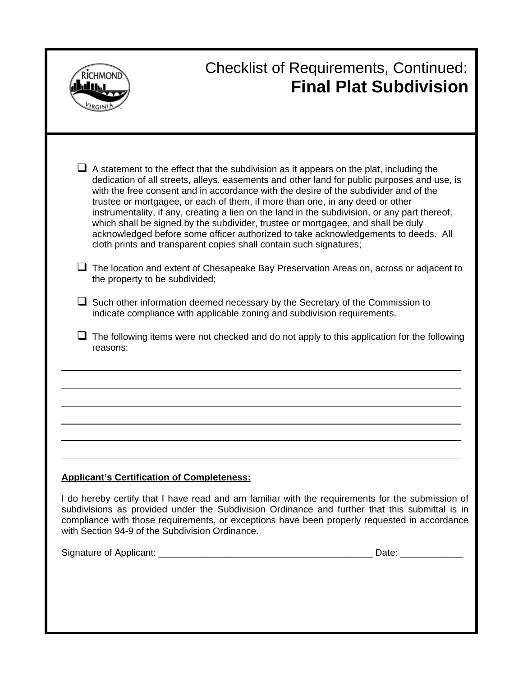|                                                   | <b>Checklist of Requirements, Continued:</b><br><b>Final Plat Subdivision</b>                                                                                                                                                                                                                                                                                                                                                                                                                                                                                                                                                                                                                                                                                                                                                                                                                                                                                                                                                                                                        |
|---------------------------------------------------|--------------------------------------------------------------------------------------------------------------------------------------------------------------------------------------------------------------------------------------------------------------------------------------------------------------------------------------------------------------------------------------------------------------------------------------------------------------------------------------------------------------------------------------------------------------------------------------------------------------------------------------------------------------------------------------------------------------------------------------------------------------------------------------------------------------------------------------------------------------------------------------------------------------------------------------------------------------------------------------------------------------------------------------------------------------------------------------|
| the property to be subdivided;<br>reasons:        | $\Box$ A statement to the effect that the subdivision as it appears on the plat, including the<br>dedication of all streets, alleys, easements and other land for public purposes and use, is<br>with the free consent and in accordance with the desire of the subdivider and of the<br>trustee or mortgagee, or each of them, if more than one, in any deed or other<br>instrumentality, if any, creating a lien on the land in the subdivision, or any part thereof,<br>which shall be signed by the subdivider, trustee or mortgagee, and shall be duly<br>acknowledged before some officer authorized to take acknowledgements to deeds. All<br>cloth prints and transparent copies shall contain such signatures;<br>The location and extent of Chesapeake Bay Preservation Areas on, across or adjacent to<br>$\Box$ Such other information deemed necessary by the Secretary of the Commission to<br>indicate compliance with applicable zoning and subdivision requirements.<br>The following items were not checked and do not apply to this application for the following |
| <b>Applicant's Certification of Completeness:</b> | I do hereby certify that I have read and am familiar with the requirements for the submission of<br>subdivisions as provided under the Subdivision Ordinance and further that this submittal is in                                                                                                                                                                                                                                                                                                                                                                                                                                                                                                                                                                                                                                                                                                                                                                                                                                                                                   |

subdivisions as provided under the Subdivision Ordinance and further that this submittal is in compliance with those requirements, or exceptions have been properly requested in accordance with Section 94-9 of the Subdivision Ordinance. Signature of Applicant: \_\_\_\_\_\_\_\_\_\_\_\_\_\_\_\_\_\_\_\_\_\_\_\_\_\_\_\_\_\_\_\_\_\_\_\_\_\_\_\_\_ Date: \_\_\_\_\_\_\_\_\_\_\_\_

| Signature of Applicant |  |
|------------------------|--|
|------------------------|--|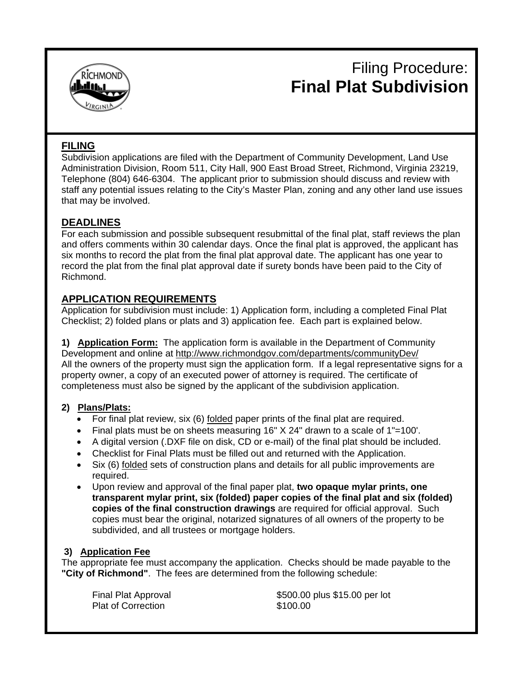

## Filing Procedure: **Final Plat Subdivision**

### **FILING**

Subdivision applications are filed with the Department of Community Development, Land Use Administration Division, Room 511, City Hall, 900 East Broad Street, Richmond, Virginia 23219, Telephone (804) 646-6304. The applicant prior to submission should discuss and review with staff any potential issues relating to the City's Master Plan, zoning and any other land use issues that may be involved.

### **DEADLINES**

For each submission and possible subsequent resubmittal of the final plat, staff reviews the plan and offers comments within 30 calendar days. Once the final plat is approved, the applicant has six months to record the plat from the final plat approval date. The applicant has one year to record the plat from the final plat approval date if surety bonds have been paid to the City of Richmond.

### **APPLICATION REQUIREMENTS**

Application for subdivision must include: 1) Application form, including a completed Final Plat Checklist; 2) folded plans or plats and 3) application fee. Each part is explained below.

**1) Application Form:** The application form is available in the Department of Community Development and online at http://www.richmondgov.com/departments/communityDev/ All the owners of the property must sign the application form. If a legal representative signs for a property owner, a copy of an executed power of attorney is required. The certificate of completeness must also be signed by the applicant of the subdivision application.

### **2) Plans/Plats:**

- For final plat review, six (6) folded paper prints of the final plat are required.
- Final plats must be on sheets measuring 16" X 24" drawn to a scale of 1"=100'.
- A digital version (.DXF file on disk, CD or e-mail) of the final plat should be included.
- Checklist for Final Plats must be filled out and returned with the Application.
- Six (6) folded sets of construction plans and details for all public improvements are required.
- Upon review and approval of the final paper plat, **two opaque mylar prints, one transparent mylar print, six (folded) paper copies of the final plat and six (folded) copies of the final construction drawings** are required for official approval. Such copies must bear the original, notarized signatures of all owners of the property to be subdivided, and all trustees or mortgage holders.

### **3) Application Fee**

The appropriate fee must accompany the application. Checks should be made payable to the **"City of Richmond"**. The fees are determined from the following schedule:

Plat of Correction

Final Plat Approval \$500.00 plus \$15.00 per lot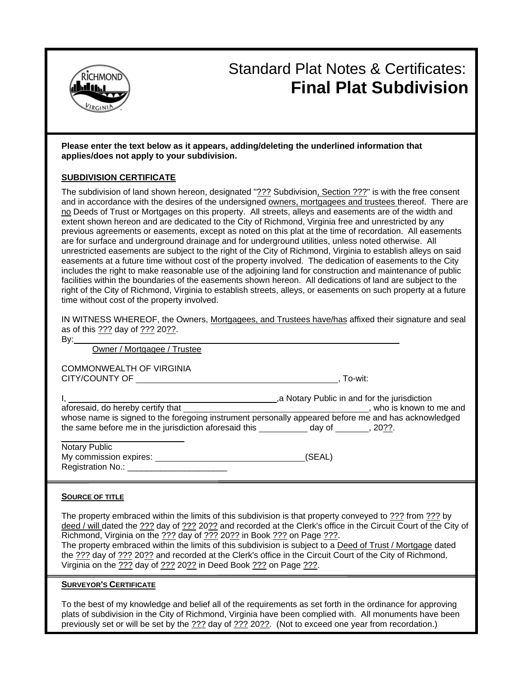

## Standard Plat Notes & Certificates: **Final Plat Subdivision**

#### **Please enter the text below as it appears, adding/deleting the underlined information that applies/does not apply to your subdivision.**

#### **SUBDIVISION CERTIFICATE**

The subdivision of land shown hereon, designated "??? Subdivision, Section ???" is with the free consent and in accordance with the desires of the undersigned owners, mortgagees and trustees thereof. There are no Deeds of Trust or Mortgages on this property. All streets, alleys and easements are of the width and extent shown hereon and are dedicated to the City of Richmond, Virginia free and unrestricted by any previous agreements or easements, except as noted on this plat at the time of recordation. All easements are for surface and underground drainage and for underground utilities, unless noted otherwise. All unrestricted easements are subject to the right of the City of Richmond, Virginia to establish alleys on said easements at a future time without cost of the property involved. The dedication of easements to the City includes the right to make reasonable use of the adjoining land for construction and maintenance of public facilities within the boundaries of the easements shown hereon. All dedications of land are subject to the right of the City of Richmond, Virginia to establish streets, alleys, or easements on such property at a future time without cost of the property involved.

| IN WITNESS WHEREOF, the Owners, Mortgagees, and Trustees have/has affixed their signature and seal |  |  |  |  |
|----------------------------------------------------------------------------------------------------|--|--|--|--|
| as of this ??? day of ??? 20??.                                                                    |  |  |  |  |

| --<br>- |  |
|---------|--|
| I<br>۰. |  |

Owner / Mortgagee / Trustee

COMMONWEALTH OF VIRGINIA CITY/COUNTY OF , To-wit:

|                                                                                                     | , a Notary Public in and for the jurisdiction |                        |
|-----------------------------------------------------------------------------------------------------|-----------------------------------------------|------------------------|
| aforesaid, do hereby certify that                                                                   |                                               | who is known to me and |
| whose name is signed to the foregoing instrument personally appeared before me and has acknowledged |                                               |                        |
| the same before me in the jurisdiction aforesaid this                                               | dav of                                        | . 20??.                |
|                                                                                                     |                                               |                        |

| Notary Public          |        |
|------------------------|--------|
| My commission expires: | (SEAL) |
| Registration No.:      |        |

#### **SOURCE OF TITLE**

The property embraced within the limits of this subdivision is that property conveyed to ??? from ??? by deed / will dated the ??? day of ??? 20?? and recorded at the Clerk's office in the Circuit Court of the City of Richmond, Virginia on the ??? day of ??? 20?? in Book ??? on Page ???. The property embraced within the limits of this subdivision is subject to a Deed of Trust / Mortgage dated the ??? day of ??? 20?? and recorded at the Clerk's office in the Circuit Court of the City of Richmond, Virginia on the ??? day of ??? 20?? in Deed Book ??? on Page ???.

#### **SURVEYOR'S CERTIFICATE**

To the best of my knowledge and belief all of the requirements as set forth in the ordinance for approving plats of subdivision in the City of Richmond, Virginia have been complied with. All monuments have been previously set or will be set by the ??? day of ??? 20??. (Not to exceed one year from recordation.)